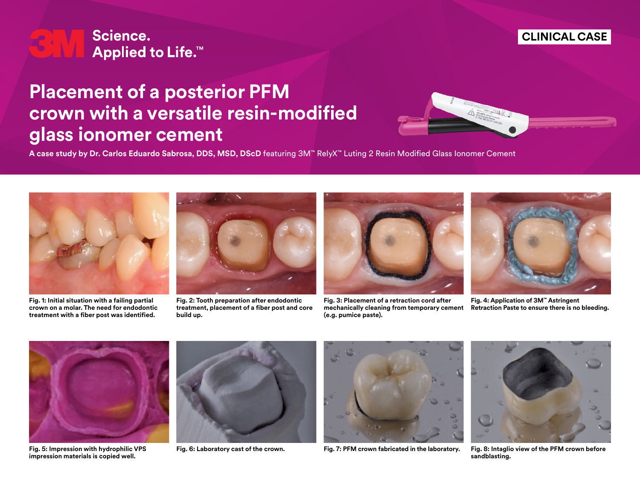

## **Placement of a posterior PFM crown with a versatile resin-modified glass ionomer cement**



**A case study by Dr. Carlos Eduardo Sabrosa, DDS, MSD, DScD** featuring 3M™ RelyX™ Luting 2 Resin Modified Glass Ionomer Cement



**Fig. 1: Initial situation with a failing partial crown on a molar. The need for endodontic treatment with a fiber post was identified.**



**Fig. 2: Tooth preparation after endodontic treatment, placement of a fiber post and core build up.**



**Fig. 3: Placement of a retraction cord after mechanically cleaning from temporary cement (e.g. pumice paste).**



**CLINICAL CASE**

**Fig. 4: Application of 3M™ Astringent Retraction Paste to ensure there is no bleeding.**



**Fig. 5: Impression with hydrophilic VPS impression materials is copied well.**







**Fig. 6: Laboratory cast of the crown. Fig. 7: PFM crown fabricated in the laboratory. Fig. 8: Intaglio view of the PFM crown before sandblasting.**